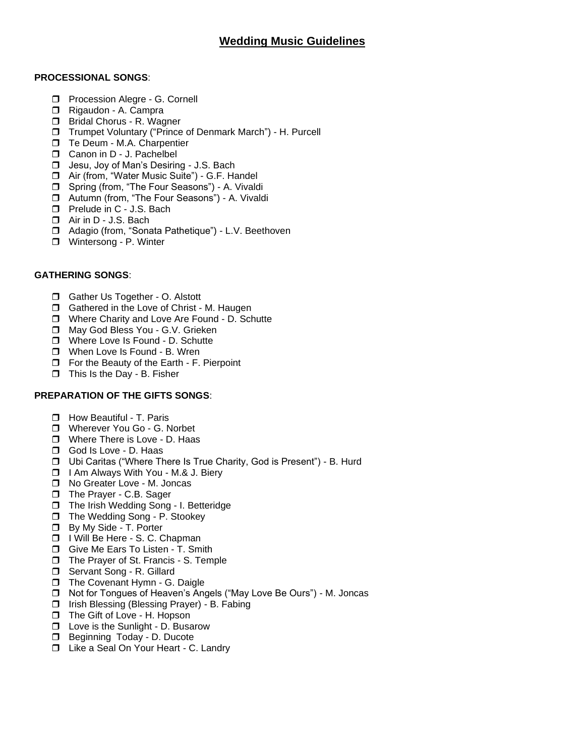# **PROCESSIONAL SONGS**:

- **D** Procession Alegre G. Cornell
- Rigaudon A. Campra
- **Bridal Chorus R. Wagner**
- Trumpet Voluntary ("Prince of Denmark March") H. Purcell
- □ Te Deum M.A. Charpentier
- Canon in D J. Pachelbel
- □ Jesu, Joy of Man's Desiring J.S. Bach
- □ Air (from, "Water Music Suite") G.F. Handel
- □ Spring (from, "The Four Seasons") A. Vivaldi
- □ Autumn (from, "The Four Seasons") A. Vivaldi
- **D** Prelude in C J.S. Bach
- □ Air in D J.S. Bach
- Adagio (from, "Sonata Pathetique") L.V. Beethoven
- □ Wintersong P. Winter

# **GATHERING SONGS**:

- Gather Us Together O. Alstott
- □ Gathered in the Love of Christ M. Haugen
- □ Where Charity and Love Are Found D. Schutte
- □ May God Bless You G.V. Grieken
- □ Where Love Is Found D. Schutte
- □ When Love Is Found B. Wren
- $\Box$  For the Beauty of the Earth F. Pierpoint
- $\Box$  This Is the Day B. Fisher

# **PREPARATION OF THE GIFTS SONGS**:

- **How Beautiful T. Paris**
- **T** Wherever You Go G. Norbet
- **D** Where There is Love D. Haas
- God Is Love D. Haas
- Ubi Caritas ("Where There Is True Charity, God is Present") B. Hurd
- □ I Am Always With You M.& J. Biery
- □ No Greater Love M. Joncas
- The Prayer C.B. Sager
- □ The Irish Wedding Song I. Betteridge
- □ The Wedding Song P. Stookey
- **D** By My Side T. Porter
- □ I Will Be Here S. C. Chapman
- Give Me Ears To Listen T. Smith
- The Prayer of St. Francis S. Temple
- □ Servant Song R. Gillard
- The Covenant Hymn G. Daigle
- □ Not for Tongues of Heaven's Angels ("May Love Be Ours") M. Joncas
- □ Irish Blessing (Blessing Prayer) B. Fabing
- □ The Gift of Love H. Hopson
- $\Box$  Love is the Sunlight D. Busarow
- **Beginning Today D. Ducote**
- □ Like a Seal On Your Heart C. Landry